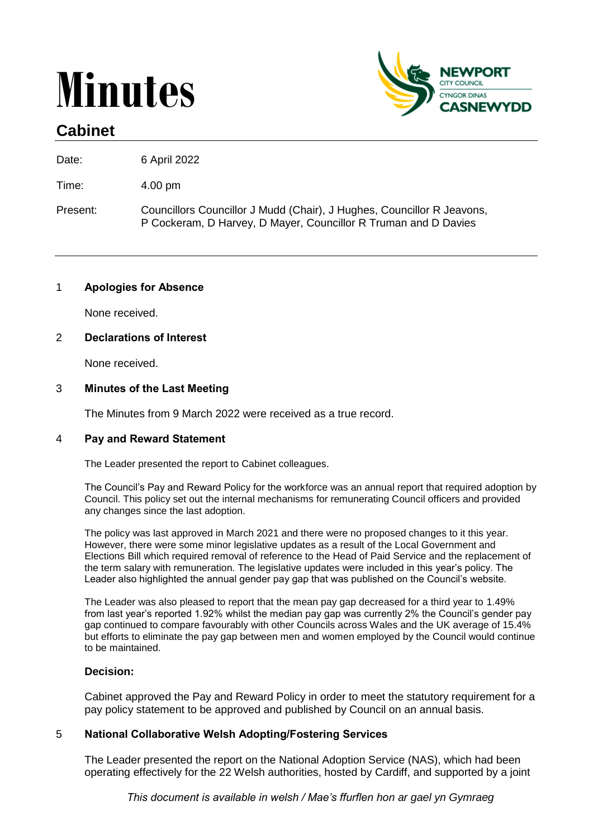# **Minutes**



# **Cabinet**

Date: 6 April 2022

Time: 4.00 pm

Present: Councillors Councillor J Mudd (Chair), J Hughes, Councillor R Jeavons, P Cockeram, D Harvey, D Mayer, Councillor R Truman and D Davies

# 1 **Apologies for Absence**

None received.

# 2 **Declarations of Interest**

None received.

# 3 **Minutes of the Last Meeting**

The Minutes from 9 March 2022 were received as a true record.

# 4 **Pay and Reward Statement**

The Leader presented the report to Cabinet colleagues.

The Council's Pay and Reward Policy for the workforce was an annual report that required adoption by Council. This policy set out the internal mechanisms for remunerating Council officers and provided any changes since the last adoption.

The policy was last approved in March 2021 and there were no proposed changes to it this year. However, there were some minor legislative updates as a result of the Local Government and Elections Bill which required removal of reference to the Head of Paid Service and the replacement of the term salary with remuneration. The legislative updates were included in this year's policy. The Leader also highlighted the annual gender pay gap that was published on the Council's website.

The Leader was also pleased to report that the mean pay gap decreased for a third year to 1.49% from last year's reported 1.92% whilst the median pay gap was currently 2% the Council's gender pay gap continued to compare favourably with other Councils across Wales and the UK average of 15.4% but efforts to eliminate the pay gap between men and women employed by the Council would continue to be maintained.

# **Decision:**

Cabinet approved the Pay and Reward Policy in order to meet the statutory requirement for a pay policy statement to be approved and published by Council on an annual basis.

# 5 **National Collaborative Welsh Adopting/Fostering Services**

The Leader presented the report on the National Adoption Service (NAS), which had been operating effectively for the 22 Welsh authorities, hosted by Cardiff, and supported by a joint

*This document is available in welsh / Mae's ffurflen hon ar gael yn Gymraeg*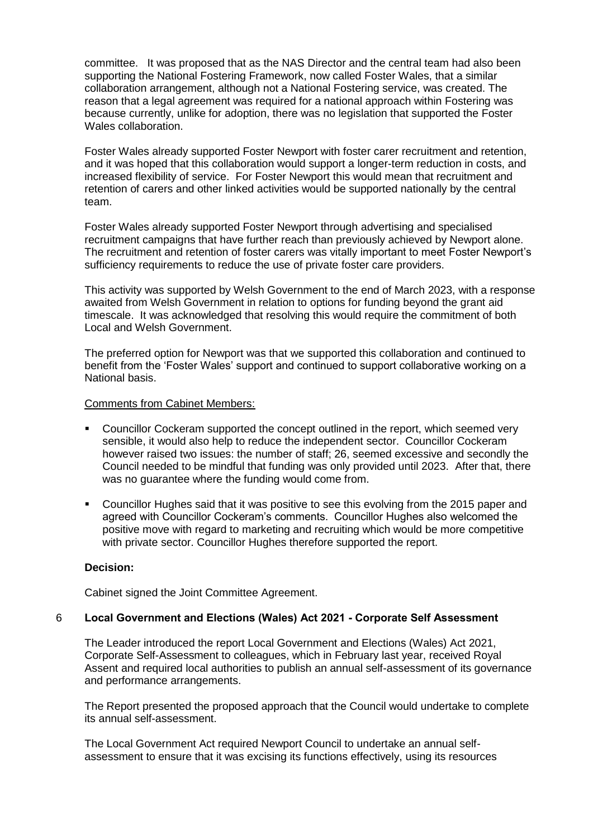committee. It was proposed that as the NAS Director and the central team had also been supporting the National Fostering Framework, now called Foster Wales, that a similar collaboration arrangement, although not a National Fostering service, was created. The reason that a legal agreement was required for a national approach within Fostering was because currently, unlike for adoption, there was no legislation that supported the Foster Wales collaboration.

Foster Wales already supported Foster Newport with foster carer recruitment and retention, and it was hoped that this collaboration would support a longer-term reduction in costs, and increased flexibility of service. For Foster Newport this would mean that recruitment and retention of carers and other linked activities would be supported nationally by the central team.

Foster Wales already supported Foster Newport through advertising and specialised recruitment campaigns that have further reach than previously achieved by Newport alone. The recruitment and retention of foster carers was vitally important to meet Foster Newport's sufficiency requirements to reduce the use of private foster care providers.

This activity was supported by Welsh Government to the end of March 2023, with a response awaited from Welsh Government in relation to options for funding beyond the grant aid timescale. It was acknowledged that resolving this would require the commitment of both Local and Welsh Government.

The preferred option for Newport was that we supported this collaboration and continued to benefit from the 'Foster Wales' support and continued to support collaborative working on a National basis.

#### Comments from Cabinet Members:

- **EXECOUNCILLET COCKET COCKET AT SUPPORTED THE CONCEPT CONCEPT** COUNCILLET COUNCILLET COUNCILLET COUNCILLET COUNCIL sensible, it would also help to reduce the independent sector. Councillor Cockeram however raised two issues: the number of staff; 26, seemed excessive and secondly the Council needed to be mindful that funding was only provided until 2023. After that, there was no guarantee where the funding would come from.
- Councillor Hughes said that it was positive to see this evolving from the 2015 paper and agreed with Councillor Cockeram's comments. Councillor Hughes also welcomed the positive move with regard to marketing and recruiting which would be more competitive with private sector. Councillor Hughes therefore supported the report.

# **Decision:**

Cabinet signed the Joint Committee Agreement.

# 6 **Local Government and Elections (Wales) Act 2021 - Corporate Self Assessment**

The Leader introduced the report Local Government and Elections (Wales) Act 2021, Corporate Self-Assessment to colleagues, which in February last year, received Royal Assent and required local authorities to publish an annual self-assessment of its governance and performance arrangements.

The Report presented the proposed approach that the Council would undertake to complete its annual self-assessment.

The Local Government Act required Newport Council to undertake an annual selfassessment to ensure that it was excising its functions effectively, using its resources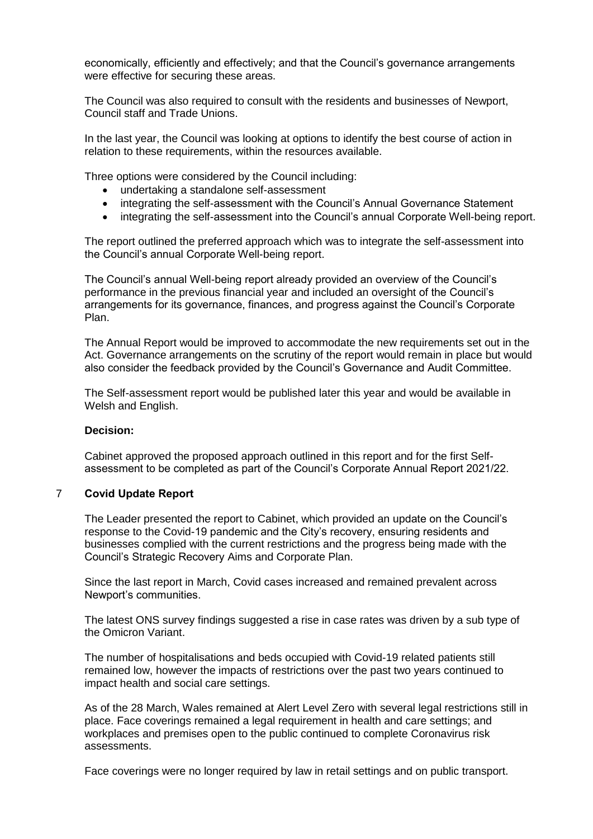economically, efficiently and effectively; and that the Council's governance arrangements were effective for securing these areas.

The Council was also required to consult with the residents and businesses of Newport, Council staff and Trade Unions.

In the last year, the Council was looking at options to identify the best course of action in relation to these requirements, within the resources available.

Three options were considered by the Council including:

- undertaking a standalone self-assessment
- integrating the self-assessment with the Council's Annual Governance Statement
- integrating the self-assessment into the Council's annual Corporate Well-being report.

The report outlined the preferred approach which was to integrate the self-assessment into the Council's annual Corporate Well-being report.

The Council's annual Well-being report already provided an overview of the Council's performance in the previous financial year and included an oversight of the Council's arrangements for its governance, finances, and progress against the Council's Corporate Plan.

The Annual Report would be improved to accommodate the new requirements set out in the Act. Governance arrangements on the scrutiny of the report would remain in place but would also consider the feedback provided by the Council's Governance and Audit Committee.

The Self-assessment report would be published later this year and would be available in Welsh and English.

### **Decision:**

Cabinet approved the proposed approach outlined in this report and for the first Selfassessment to be completed as part of the Council's Corporate Annual Report 2021/22.

#### 7 **Covid Update Report**

The Leader presented the report to Cabinet, which provided an update on the Council's response to the Covid-19 pandemic and the City's recovery, ensuring residents and businesses complied with the current restrictions and the progress being made with the Council's Strategic Recovery Aims and Corporate Plan.

Since the last report in March, Covid cases increased and remained prevalent across Newport's communities.

The latest ONS survey findings suggested a rise in case rates was driven by a sub type of the Omicron Variant.

The number of hospitalisations and beds occupied with Covid-19 related patients still remained low, however the impacts of restrictions over the past two years continued to impact health and social care settings.

As of the 28 March, Wales remained at Alert Level Zero with several legal restrictions still in place. Face coverings remained a legal requirement in health and care settings; and workplaces and premises open to the public continued to complete Coronavirus risk assessments.

Face coverings were no longer required by law in retail settings and on public transport.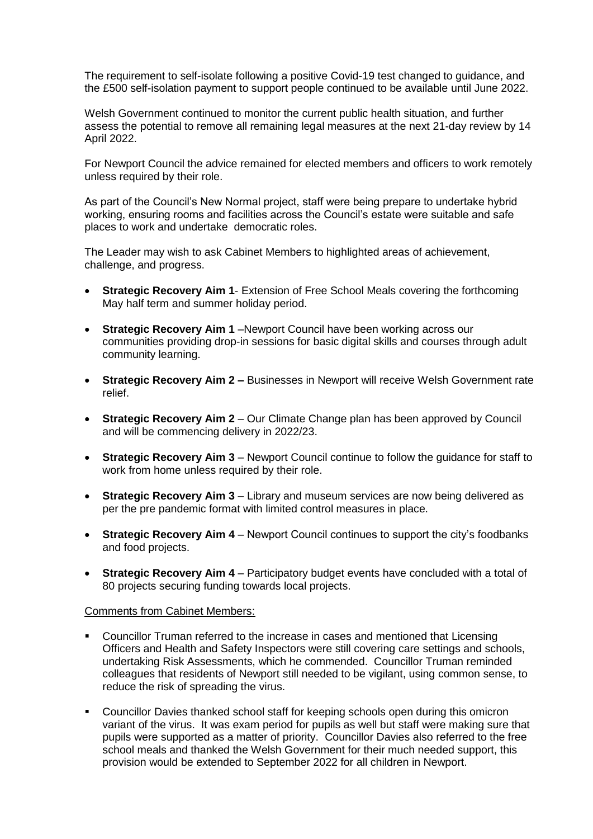The requirement to self-isolate following a positive Covid-19 test changed to guidance, and the £500 self-isolation payment to support people continued to be available until June 2022.

Welsh Government continued to monitor the current public health situation, and further assess the potential to remove all remaining legal measures at the next 21-day review by 14 April 2022.

For Newport Council the advice remained for elected members and officers to work remotely unless required by their role.

As part of the Council's New Normal project, staff were being prepare to undertake hybrid working, ensuring rooms and facilities across the Council's estate were suitable and safe places to work and undertake democratic roles.

The Leader may wish to ask Cabinet Members to highlighted areas of achievement, challenge, and progress.

- **Strategic Recovery Aim 1** Extension of Free School Meals covering the forthcoming May half term and summer holiday period.
- **Strategic Recovery Aim 1** –Newport Council have been working across our communities providing drop-in sessions for basic digital skills and courses through adult community learning.
- **Strategic Recovery Aim 2 –** Businesses in Newport will receive Welsh Government rate relief.
- **Strategic Recovery Aim 2**  Our Climate Change plan has been approved by Council and will be commencing delivery in 2022/23.
- **Strategic Recovery Aim 3**  Newport Council continue to follow the guidance for staff to work from home unless required by their role.
- **Strategic Recovery Aim 3**  Library and museum services are now being delivered as per the pre pandemic format with limited control measures in place.
- **Strategic Recovery Aim 4**  Newport Council continues to support the city's foodbanks and food projects.
- **Strategic Recovery Aim 4** Participatory budget events have concluded with a total of 80 projects securing funding towards local projects.

#### Comments from Cabinet Members:

- Councillor Truman referred to the increase in cases and mentioned that Licensing Officers and Health and Safety Inspectors were still covering care settings and schools, undertaking Risk Assessments, which he commended. Councillor Truman reminded colleagues that residents of Newport still needed to be vigilant, using common sense, to reduce the risk of spreading the virus.
- Councillor Davies thanked school staff for keeping schools open during this omicron variant of the virus. It was exam period for pupils as well but staff were making sure that pupils were supported as a matter of priority. Councillor Davies also referred to the free school meals and thanked the Welsh Government for their much needed support, this provision would be extended to September 2022 for all children in Newport.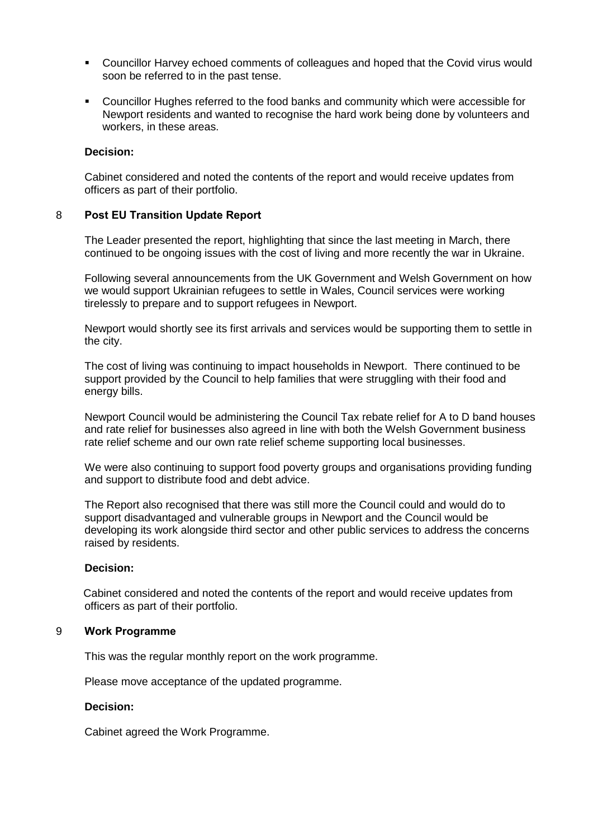- Councillor Harvey echoed comments of colleagues and hoped that the Covid virus would soon be referred to in the past tense.
- **Councillor Hughes referred to the food banks and community which were accessible for** Newport residents and wanted to recognise the hard work being done by volunteers and workers, in these areas.

#### **Decision:**

Cabinet considered and noted the contents of the report and would receive updates from officers as part of their portfolio.

### 8 **Post EU Transition Update Report**

The Leader presented the report, highlighting that since the last meeting in March, there continued to be ongoing issues with the cost of living and more recently the war in Ukraine.

Following several announcements from the UK Government and Welsh Government on how we would support Ukrainian refugees to settle in Wales, Council services were working tirelessly to prepare and to support refugees in Newport.

Newport would shortly see its first arrivals and services would be supporting them to settle in the city.

The cost of living was continuing to impact households in Newport. There continued to be support provided by the Council to help families that were struggling with their food and energy bills.

Newport Council would be administering the Council Tax rebate relief for A to D band houses and rate relief for businesses also agreed in line with both the Welsh Government business rate relief scheme and our own rate relief scheme supporting local businesses.

We were also continuing to support food poverty groups and organisations providing funding and support to distribute food and debt advice.

The Report also recognised that there was still more the Council could and would do to support disadvantaged and vulnerable groups in Newport and the Council would be developing its work alongside third sector and other public services to address the concerns raised by residents.

#### **Decision:**

Cabinet considered and noted the contents of the report and would receive updates from officers as part of their portfolio.

#### 9 **Work Programme**

This was the regular monthly report on the work programme.

Please move acceptance of the updated programme.

#### **Decision:**

Cabinet agreed the Work Programme.